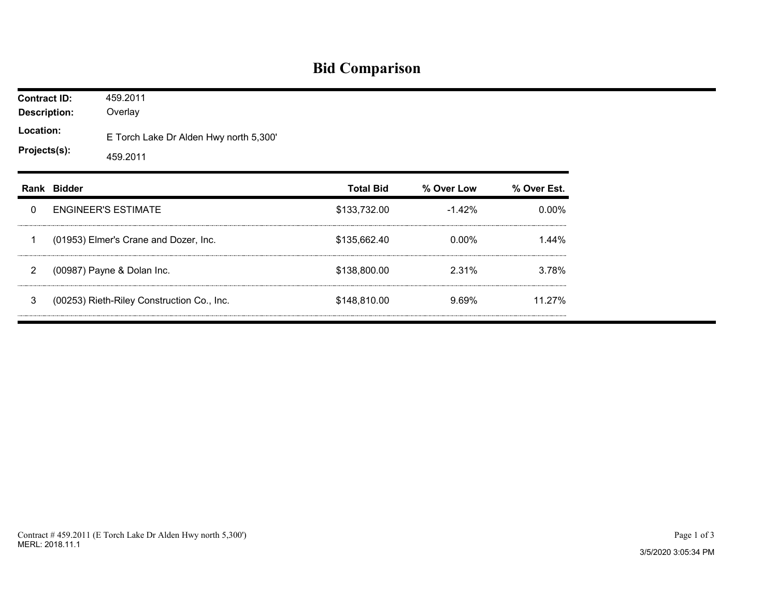## **Bid Comparison**

| <b>Contract ID:</b><br><b>Description:</b><br>Location:<br>Projects(s): |  | 459.2011<br>Overlay<br>E Torch Lake Dr Alden Hwy north 5,300'<br>459.2011 |              |          |          |  |  |  |  |
|-------------------------------------------------------------------------|--|---------------------------------------------------------------------------|--------------|----------|----------|--|--|--|--|
|                                                                         |  |                                                                           |              |          |          |  |  |  |  |
| 0                                                                       |  | <b>ENGINEER'S ESTIMATE</b>                                                | \$133,732.00 | $-1.42%$ | $0.00\%$ |  |  |  |  |
| 1                                                                       |  | (01953) Elmer's Crane and Dozer, Inc.                                     | \$135,662.40 | $0.00\%$ | 1.44%    |  |  |  |  |
| $\overline{2}$                                                          |  | (00987) Payne & Dolan Inc.                                                | \$138,800.00 | 2.31%    | 3.78%    |  |  |  |  |
| 3                                                                       |  | (00253) Rieth-Riley Construction Co., Inc.                                | \$148,810.00 | 9.69%    | 11.27%   |  |  |  |  |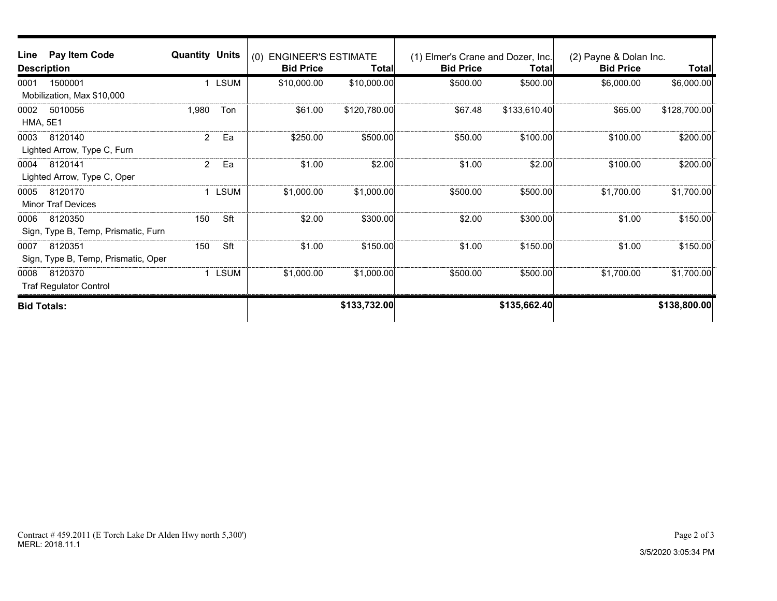| Line<br><b>Description</b> | Pay Item Code                                  | <b>Quantity Units</b> |              | <b>ENGINEER'S ESTIMATE</b><br>(0)<br><b>Bid Price</b> | Total∣       | (1) Elmer's Crane and Dozer, Inc.<br><b>Bid Price</b> | Total∣       | (2) Payne & Dolan Inc.<br><b>Bid Price</b> | Total        |
|----------------------------|------------------------------------------------|-----------------------|--------------|-------------------------------------------------------|--------------|-------------------------------------------------------|--------------|--------------------------------------------|--------------|
| 0001                       | 1500001<br>Mobilization, Max \$10,000          |                       | <b>LSUM</b>  | \$10,000.00                                           | \$10,000.00  | \$500.00                                              | \$500.00     | \$6,000.00                                 | \$6,000.00   |
| 0002<br><b>HMA, 5E1</b>    | 5010056                                        | 1,980                 | Ton          | \$61.00                                               | \$120,780.00 | \$67.48                                               | \$133,610.40 | \$65.00                                    | \$128,700.00 |
| 0003                       | 8120140<br>Lighted Arrow, Type C, Furn         | $\overline{2}$        | Ea           | \$250.00                                              | \$500.00     | \$50.00                                               | \$100.00     | \$100.00                                   | \$200.00     |
| 0004                       | 8120141<br>Lighted Arrow, Type C, Oper         | $\overline{2}$        | Ea           | \$1.00                                                | \$2.00       | \$1.00                                                | \$2.00       | \$100.00                                   | \$200.00     |
| 0005                       | 8120170<br><b>Minor Traf Devices</b>           |                       | <b>LSUM</b>  | \$1,000.00                                            | \$1,000.00]  | \$500.00                                              | \$500.00     | \$1,700.00                                 | \$1,700.00   |
| 0006                       | 8120350<br>Sign, Type B, Temp, Prismatic, Furn | 150                   | Sft          | \$2.00                                                | \$300.00     | \$2.00                                                | \$300.00     | \$1.00                                     | \$150.00     |
| 0007                       | 8120351<br>Sign, Type B, Temp, Prismatic, Oper | 150                   | Sft          | \$1.00                                                | \$150.00     | \$1.00                                                | \$150.00     | \$1.00                                     | \$150.00     |
| 0008                       | 8120370<br><b>Traf Regulator Control</b>       |                       | <b>LSUM</b>  | \$1,000.00                                            | \$1,000.00]  | \$500.00                                              | \$500.00     | \$1,700.00                                 | \$1,700.00   |
| <b>Bid Totals:</b>         |                                                |                       | \$133,732.00 |                                                       | \$135,662.40 |                                                       | \$138,800.00 |                                            |              |